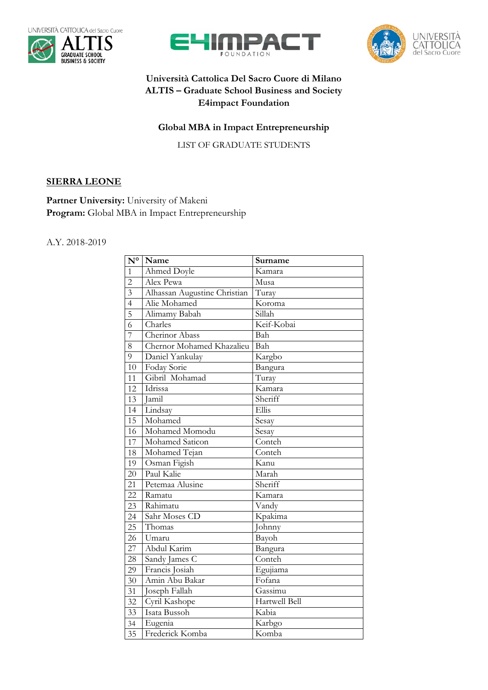







## **Università Cattolica Del Sacro Cuore di Milano ALTIS – Graduate School Business and Society E4impact Foundation**

## **Global MBA in Impact Entrepreneurship**

LIST OF GRADUATE STUDENTS

## **SIERRA LEONE**

Partner University: University of Makeni **Program:** Global MBA in Impact Entrepreneurship

## A.Y. 2018-2019

| $\overline{\mathbf{N}^{\circ}}$ | Name                         | Surname            |
|---------------------------------|------------------------------|--------------------|
| $\mathbf{1}$                    | Ahmed Doyle                  | Kamara             |
| $\overline{2}$                  | Alex Pewa                    | Musa               |
| $\overline{3}$                  | Alhassan Augustine Christian | Turay              |
| $\overline{4}$                  | Alie Mohamed                 | Koroma             |
| 5                               | Alimamy Babah                | $\overline{Silah}$ |
| 6                               | Charles                      | Keif-Kobai         |
| $\overline{7}$                  | Cherinor Abass               | Bah                |
| 8                               | Chernor Mohamed Khazalieu    | Bah                |
| 9                               | Daniel Yankulay              | Kargbo             |
| 10                              | Foday Sorie                  | Bangura            |
| 11                              | Gibril Mohamad               | Turay              |
| 12                              | Idrissa                      | Kamara             |
| 13                              | Jamil                        | Sheriff            |
| 14                              | Lindsay                      | Ellis              |
| 15                              | Mohamed                      | Sesay              |
| 16                              | Mohamed Momodu               | Sesay              |
| 17                              | Mohamed Saticon              | Conteh             |
| 18                              | Mohamed Tejan                | Conteh             |
| 19                              | Osman Figish                 | Kanu               |
| 20                              | Paul Kalie                   | Marah              |
| 21                              | Petemaa Alusine              | Sheriff            |
| 22                              | Ramatu                       | Kamara             |
| 23                              | Rahimatu                     | Vandy              |
| 24                              | Sahr Moses CD                | Kpakima            |
| 25                              | Thomas                       | Johnny             |
| 26                              | Umaru                        | Bayoh              |
| 27                              | Abdul Karim                  | Bangura            |
| 28                              | Sandy James C                | Conteh             |
| 29                              | Francis Josiah               | Egujiama           |
| 30                              | Amin Abu Bakar               | Fofana             |
| 31                              | Joseph Fallah                | Gassimu            |
| 32                              | Cyril Kashope                | Hartwell Bell      |
| 33                              | Isata Bussoh                 | Kabia              |
| 34                              | Eugenia                      | Karbgo             |
| 35                              | Frederick Komba              | Komba              |